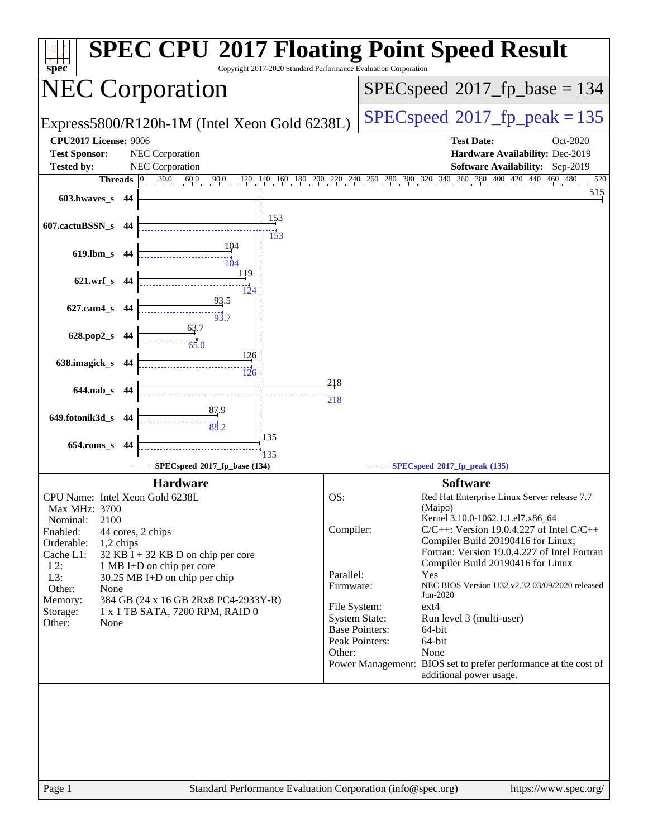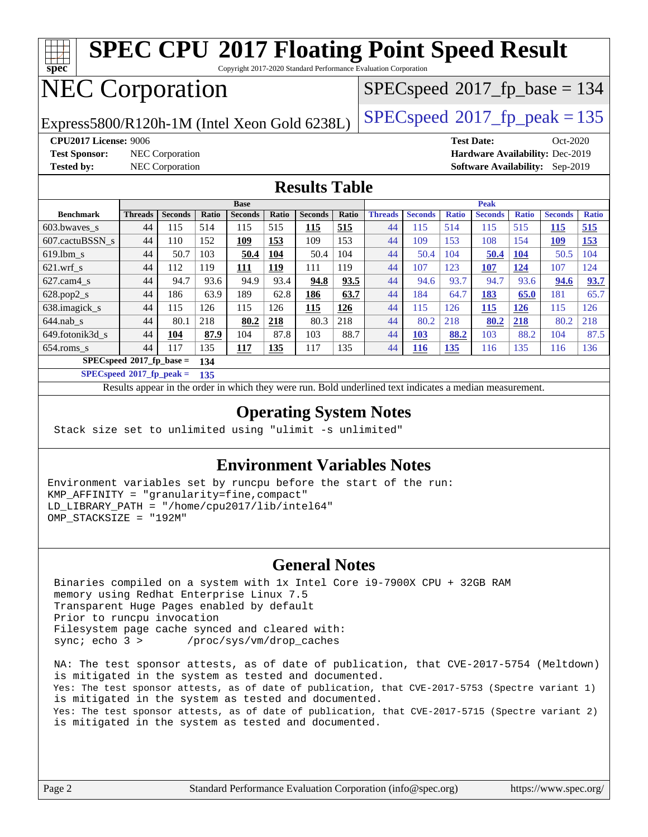| <b>SPEC CPU®2017 Floating Point Speed Result</b><br>spec<br>Copyright 2017-2020 Standard Performance Evaluation Corporation |                                                                  |                |       |                |       |                |                                         |                |                |              |                   |              |                |              |
|-----------------------------------------------------------------------------------------------------------------------------|------------------------------------------------------------------|----------------|-------|----------------|-------|----------------|-----------------------------------------|----------------|----------------|--------------|-------------------|--------------|----------------|--------------|
| <b>NEC Corporation</b>                                                                                                      |                                                                  |                |       |                |       |                | $SPEC speed^{\circ}2017$ _fp_base = 134 |                |                |              |                   |              |                |              |
| $SPEC speed^{\circ}2017$ _fp_peak = 135<br>Express5800/R120h-1M (Intel Xeon Gold 6238L)                                     |                                                                  |                |       |                |       |                |                                         |                |                |              |                   |              |                |              |
| CPU2017 License: 9006                                                                                                       |                                                                  |                |       |                |       |                |                                         |                |                |              | <b>Test Date:</b> |              | $Oct-2020$     |              |
| <b>Test Sponsor:</b><br>NEC Corporation<br>Hardware Availability: Dec-2019                                                  |                                                                  |                |       |                |       |                |                                         |                |                |              |                   |              |                |              |
| <b>Tested by:</b>                                                                                                           | <b>NEC Corporation</b><br><b>Software Availability:</b> Sep-2019 |                |       |                |       |                |                                         |                |                |              |                   |              |                |              |
| <b>Results Table</b>                                                                                                        |                                                                  |                |       |                |       |                |                                         |                |                |              |                   |              |                |              |
|                                                                                                                             |                                                                  |                |       | <b>Base</b>    |       |                |                                         | <b>Peak</b>    |                |              |                   |              |                |              |
| <b>Benchmark</b>                                                                                                            | <b>Threads</b>                                                   | <b>Seconds</b> | Ratio | <b>Seconds</b> | Ratio | <b>Seconds</b> | Ratio                                   | <b>Threads</b> | <b>Seconds</b> | <b>Ratio</b> | <b>Seconds</b>    | <b>Ratio</b> | <b>Seconds</b> | <b>Ratio</b> |
| 603.bwayes s                                                                                                                | 44                                                               | 115            | 514   | 115            | 515   | 115            | 515                                     | 44             | 115            | 514          | 115               | 515          | <b>115</b>     | 515          |
| 607.cactuBSSN s                                                                                                             | 44                                                               | 110            | 152   | 109            | 153   | 109            | 153                                     | 44             | 109            | 153          | 108               | 154          | 109            | 153          |
| $619.1$ bm s                                                                                                                | 44                                                               | 50.7           | 103   | 50.4           | 104   | 50.4           | 104                                     | 44             | 50.4           | 104          | 50.4              | <b>104</b>   | 50.5           | 104          |
| $621$ .wrf s                                                                                                                | 44                                                               | 112            | 119   | 111            | 119   | 111            | 119                                     | 44             | 107            | 123          | 107               | 124          | 107            | 124          |
| $627.cam4$ s                                                                                                                | 44                                                               | 94.7           | 93.6  | 94.9           | 93.4  | 94.8           | 93.5                                    | 44             | 94.6           | 93.7         | 94.7              | 93.6         | 94.6           | 93.7         |
| $628.pop2_s$                                                                                                                | 44                                                               | 186            | 63.9  | 189            | 62.8  | 186            | 63.7                                    | 44             | 184            | 64.7         | 183               | 65.0         | 181            | 65.7         |
| 638.imagick_s                                                                                                               | 44                                                               | 115            | 126   | 115            | 126   | 115            | 126                                     | 44             | 115            | 126          | 115               | 126          | 115            | 126          |
| $644$ .nab s                                                                                                                | 44                                                               | 80.1           | 218   | 80.2           | 218   | 80.3           | 218                                     | 44             | 80.2           | 218          | 80.2              | 218          | 80.2           | 218          |
| 649.fotonik3d s                                                                                                             | 44                                                               | 104            | 87.9  | 104            | 87.8  | 103            | 88.7                                    | 44             | 103            | 88.2         | 103               | 88.2         | 104            | 87.5         |
| 654.roms_s                                                                                                                  | 44                                                               | 117            | 135   | 117            | 135   | 117            | 135                                     | 44             | <b>116</b>     | 135          | 116               | 135          | 116            | 136          |
| $SPECspeed*2017_fp\_base =$<br>134                                                                                          |                                                                  |                |       |                |       |                |                                         |                |                |              |                   |              |                |              |
|                                                                                                                             | $SPECspeed^{\circ}2017$ fp peak =<br>135                         |                |       |                |       |                |                                         |                |                |              |                   |              |                |              |
| Results appear in the order in which they were run. Bold underlined text indicates a median measurement.                    |                                                                  |                |       |                |       |                |                                         |                |                |              |                   |              |                |              |

#### **[Operating System Notes](http://www.spec.org/auto/cpu2017/Docs/result-fields.html#OperatingSystemNotes)**

Stack size set to unlimited using "ulimit -s unlimited"

#### **[Environment Variables Notes](http://www.spec.org/auto/cpu2017/Docs/result-fields.html#EnvironmentVariablesNotes)**

Environment variables set by runcpu before the start of the run: KMP\_AFFINITY = "granularity=fine,compact" LD\_LIBRARY\_PATH = "/home/cpu2017/lib/intel64" OMP\_STACKSIZE = "192M"

#### **[General Notes](http://www.spec.org/auto/cpu2017/Docs/result-fields.html#GeneralNotes)**

 Binaries compiled on a system with 1x Intel Core i9-7900X CPU + 32GB RAM memory using Redhat Enterprise Linux 7.5 Transparent Huge Pages enabled by default Prior to runcpu invocation Filesystem page cache synced and cleared with: sync; echo 3 > /proc/sys/vm/drop\_caches

 NA: The test sponsor attests, as of date of publication, that CVE-2017-5754 (Meltdown) is mitigated in the system as tested and documented. Yes: The test sponsor attests, as of date of publication, that CVE-2017-5753 (Spectre variant 1) is mitigated in the system as tested and documented. Yes: The test sponsor attests, as of date of publication, that CVE-2017-5715 (Spectre variant 2) is mitigated in the system as tested and documented.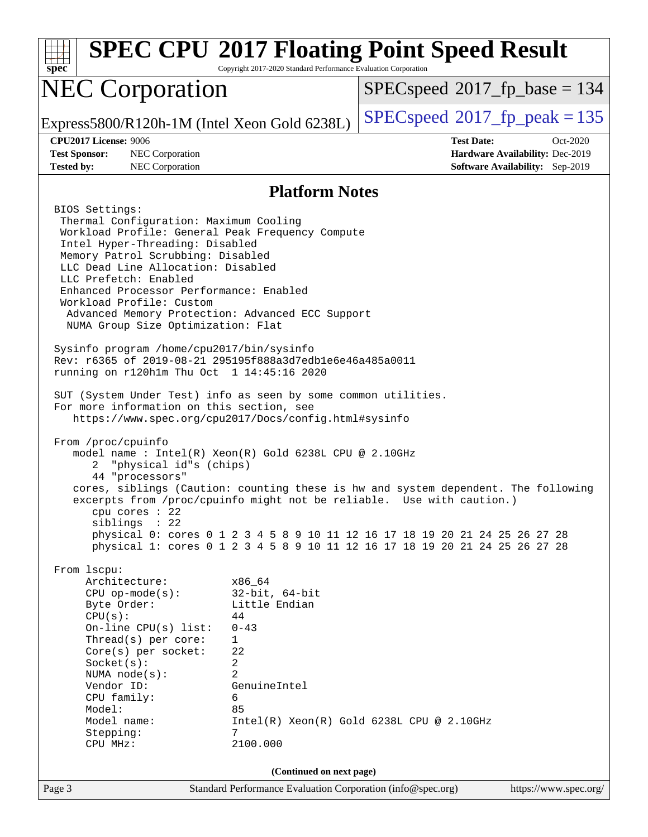| Spec                                                                                                                                                                                                                                                                                                                                                                                                                                                                                                                                                                                                                                                                                                                                                                                                                                                                                                                                                                                                                                                                                         | Copyright 2017-2020 Standard Performance Evaluation Corporation                                                                                                          | <b>SPEC CPU®2017 Floating Point Speed Result</b>                                                                                                           |                                        |
|----------------------------------------------------------------------------------------------------------------------------------------------------------------------------------------------------------------------------------------------------------------------------------------------------------------------------------------------------------------------------------------------------------------------------------------------------------------------------------------------------------------------------------------------------------------------------------------------------------------------------------------------------------------------------------------------------------------------------------------------------------------------------------------------------------------------------------------------------------------------------------------------------------------------------------------------------------------------------------------------------------------------------------------------------------------------------------------------|--------------------------------------------------------------------------------------------------------------------------------------------------------------------------|------------------------------------------------------------------------------------------------------------------------------------------------------------|----------------------------------------|
| <b>NEC Corporation</b>                                                                                                                                                                                                                                                                                                                                                                                                                                                                                                                                                                                                                                                                                                                                                                                                                                                                                                                                                                                                                                                                       |                                                                                                                                                                          | $SPEC speed^{\circ}2017$ fp base = 134                                                                                                                     |                                        |
| Express5800/R120h-1M (Intel Xeon Gold 6238L)                                                                                                                                                                                                                                                                                                                                                                                                                                                                                                                                                                                                                                                                                                                                                                                                                                                                                                                                                                                                                                                 |                                                                                                                                                                          | $SPEC speed^{\circ}2017$ fp peak = 135                                                                                                                     |                                        |
| CPU2017 License: 9006                                                                                                                                                                                                                                                                                                                                                                                                                                                                                                                                                                                                                                                                                                                                                                                                                                                                                                                                                                                                                                                                        |                                                                                                                                                                          | <b>Test Date:</b>                                                                                                                                          | Oct-2020                               |
| <b>Test Sponsor:</b><br>NEC Corporation                                                                                                                                                                                                                                                                                                                                                                                                                                                                                                                                                                                                                                                                                                                                                                                                                                                                                                                                                                                                                                                      |                                                                                                                                                                          |                                                                                                                                                            | Hardware Availability: Dec-2019        |
| <b>Tested by:</b><br>NEC Corporation                                                                                                                                                                                                                                                                                                                                                                                                                                                                                                                                                                                                                                                                                                                                                                                                                                                                                                                                                                                                                                                         |                                                                                                                                                                          |                                                                                                                                                            | <b>Software Availability:</b> Sep-2019 |
|                                                                                                                                                                                                                                                                                                                                                                                                                                                                                                                                                                                                                                                                                                                                                                                                                                                                                                                                                                                                                                                                                              | <b>Platform Notes</b>                                                                                                                                                    |                                                                                                                                                            |                                        |
| BIOS Settings:<br>Thermal Configuration: Maximum Cooling<br>Workload Profile: General Peak Frequency Compute<br>Intel Hyper-Threading: Disabled<br>Memory Patrol Scrubbing: Disabled<br>LLC Dead Line Allocation: Disabled<br>LLC Prefetch: Enabled<br>Enhanced Processor Performance: Enabled<br>Workload Profile: Custom<br>Advanced Memory Protection: Advanced ECC Support<br>NUMA Group Size Optimization: Flat<br>Sysinfo program /home/cpu2017/bin/sysinfo<br>Rev: r6365 of 2019-08-21 295195f888a3d7edble6e46a485a0011<br>running on r120h1m Thu Oct 1 14:45:16 2020<br>SUT (System Under Test) info as seen by some common utilities.<br>For more information on this section, see<br>https://www.spec.org/cpu2017/Docs/config.html#sysinfo<br>From /proc/cpuinfo<br>model name: $Intel(R)$ Xeon $(R)$ Gold 6238L CPU @ 2.10GHz<br>"physical id"s (chips)<br>2<br>44 "processors"<br>cores, siblings (Caution: counting these is hw and system dependent. The following<br>excerpts from /proc/cpuinfo might not be reliable. Use with caution.)<br>cpu cores : 22<br>siblings : 22 |                                                                                                                                                                          | physical 0: cores 0 1 2 3 4 5 8 9 10 11 12 16 17 18 19 20 21 24 25 26 27 28<br>physical 1: cores 0 1 2 3 4 5 8 9 10 11 12 16 17 18 19 20 21 24 25 26 27 28 |                                        |
| From 1scpu:<br>Architecture:<br>$CPU$ op-mode( $s$ ):<br>Byte Order:<br>CPU(s):<br>On-line $CPU(s)$ list:<br>Thread(s) per core:<br>Core(s) per socket:<br>Socket(s):<br>NUMA node(s):<br>Vendor ID:<br>CPU family:<br>Model:<br>Model name:<br>Stepping:<br>CPU MHz:                                                                                                                                                                                                                                                                                                                                                                                                                                                                                                                                                                                                                                                                                                                                                                                                                        | x86 64<br>$32$ -bit, $64$ -bit<br>Little Endian<br>44<br>$0 - 43$<br>$\mathbf 1$<br>22<br>2<br>2<br>GenuineIntel<br>6<br>85<br>7<br>2100.000<br>(Continued on next page) | Intel(R) Xeon(R) Gold 6238L CPU @ 2.10GHz                                                                                                                  |                                        |
| Page 3                                                                                                                                                                                                                                                                                                                                                                                                                                                                                                                                                                                                                                                                                                                                                                                                                                                                                                                                                                                                                                                                                       | Standard Performance Evaluation Corporation (info@spec.org)                                                                                                              |                                                                                                                                                            | https://www.spec.org/                  |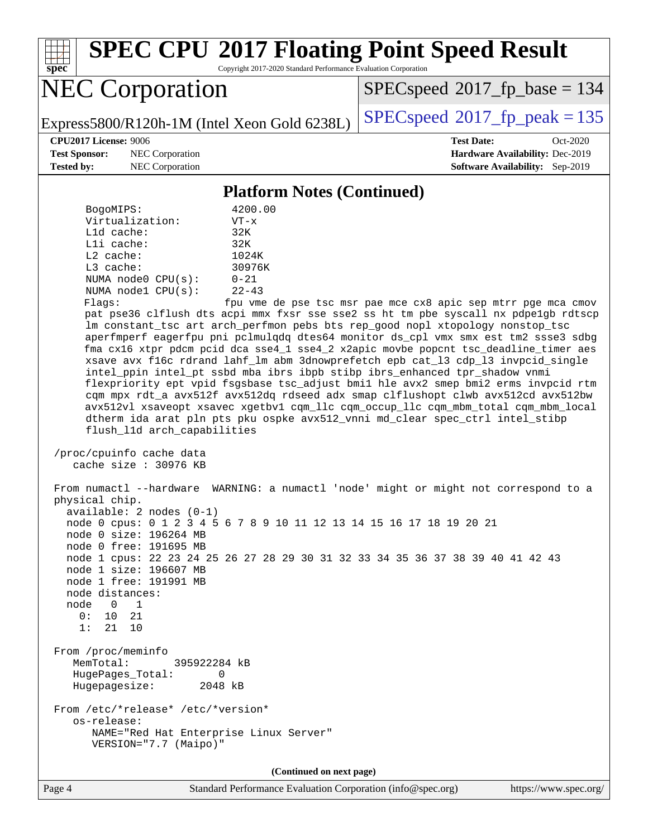

# **[SPEC CPU](http://www.spec.org/auto/cpu2017/Docs/result-fields.html#SPECCPU2017FloatingPointSpeedResult)[2017 Floating Point Speed Result](http://www.spec.org/auto/cpu2017/Docs/result-fields.html#SPECCPU2017FloatingPointSpeedResult)**

Copyright 2017-2020 Standard Performance Evaluation Corporation

# NEC Corporation

[SPECspeed](http://www.spec.org/auto/cpu2017/Docs/result-fields.html#SPECspeed2017fpbase)<sup>®</sup>2017 fp base = 134

Express5800/R120h-1M (Intel Xeon Gold 6238L)  $\left|$  [SPECspeed](http://www.spec.org/auto/cpu2017/Docs/result-fields.html#SPECspeed2017fppeak)<sup>®</sup>[2017\\_fp\\_peak = 1](http://www.spec.org/auto/cpu2017/Docs/result-fields.html#SPECspeed2017fppeak)35

**[Test Sponsor:](http://www.spec.org/auto/cpu2017/Docs/result-fields.html#TestSponsor)** NEC Corporation **[Hardware Availability:](http://www.spec.org/auto/cpu2017/Docs/result-fields.html#HardwareAvailability)** Dec-2019 **[Tested by:](http://www.spec.org/auto/cpu2017/Docs/result-fields.html#Testedby)** NEC Corporation **[Software Availability:](http://www.spec.org/auto/cpu2017/Docs/result-fields.html#SoftwareAvailability)** Sep-2019

**[CPU2017 License:](http://www.spec.org/auto/cpu2017/Docs/result-fields.html#CPU2017License)** 9006 **[Test Date:](http://www.spec.org/auto/cpu2017/Docs/result-fields.html#TestDate)** Oct-2020

#### **[Platform Notes \(Continued\)](http://www.spec.org/auto/cpu2017/Docs/result-fields.html#PlatformNotes)**

| BogoMIPS:          | 4200.00   |
|--------------------|-----------|
| Virtualization:    | $VT - x$  |
| $L1d$ cache:       | 32K       |
| Lli cache:         | 32K       |
| $L2$ cache:        | 1024K     |
| $L3$ cache:        | 30976K    |
| NUMA node0 CPU(s): | $0 - 21$  |
| NUMA nodel CPU(s): | $22 - 43$ |
|                    |           |

Flags: fpu vme de pse tsc msr pae mce cx8 apic sep mtrr pge mca cmov pat pse36 clflush dts acpi mmx fxsr sse sse2 ss ht tm pbe syscall nx pdpe1gb rdtscp lm constant\_tsc art arch\_perfmon pebs bts rep\_good nopl xtopology nonstop\_tsc aperfmperf eagerfpu pni pclmulqdq dtes64 monitor ds\_cpl vmx smx est tm2 ssse3 sdbg fma cx16 xtpr pdcm pcid dca sse4\_1 sse4\_2 x2apic movbe popcnt tsc\_deadline\_timer aes xsave avx f16c rdrand lahf\_lm abm 3dnowprefetch epb cat\_l3 cdp\_l3 invpcid\_single intel\_ppin intel\_pt ssbd mba ibrs ibpb stibp ibrs\_enhanced tpr\_shadow vnmi flexpriority ept vpid fsgsbase tsc\_adjust bmi1 hle avx2 smep bmi2 erms invpcid rtm cqm mpx rdt\_a avx512f avx512dq rdseed adx smap clflushopt clwb avx512cd avx512bw avx512vl xsaveopt xsavec xgetbv1 cqm\_llc cqm\_occup\_llc cqm\_mbm\_total cqm\_mbm\_local dtherm ida arat pln pts pku ospke avx512\_vnni md\_clear spec\_ctrl intel\_stibp flush\_l1d arch\_capabilities

 /proc/cpuinfo cache data cache size : 30976 KB

 From numactl --hardware WARNING: a numactl 'node' might or might not correspond to a physical chip. available: 2 nodes (0-1) node 0 cpus: 0 1 2 3 4 5 6 7 8 9 10 11 12 13 14 15 16 17 18 19 20 21 node 0 size: 196264 MB node 0 free: 191695 MB node 1 cpus: 22 23 24 25 26 27 28 29 30 31 32 33 34 35 36 37 38 39 40 41 42 43 node 1 size: 196607 MB node 1 free: 191991 MB node distances: node 0 1 0: 10 21 1: 21 10 From /proc/meminfo MemTotal: 395922284 kB HugePages\_Total: 0 Hugepagesize: 2048 kB From /etc/\*release\* /etc/\*version\* os-release: NAME="Red Hat Enterprise Linux Server" VERSION="7.7 (Maipo)"

**(Continued on next page)**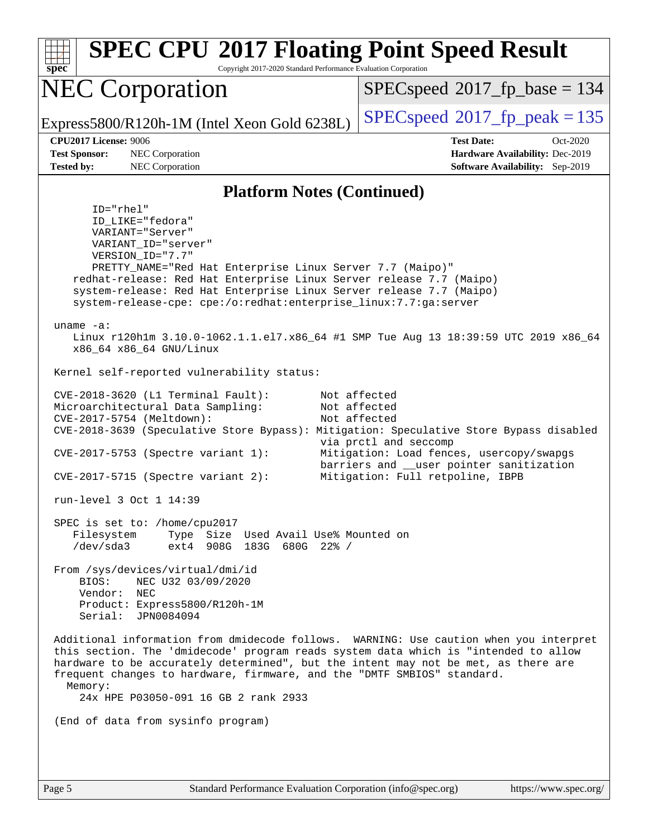| <b>SPEC CPU®2017 Floating Point Speed Result</b><br>Copyright 2017-2020 Standard Performance Evaluation Corporation<br>$spec^*$                                                                                                                                                                                                                                                                                                                                                                                                                               |                                                                                                                                                                                                   |  |  |  |
|---------------------------------------------------------------------------------------------------------------------------------------------------------------------------------------------------------------------------------------------------------------------------------------------------------------------------------------------------------------------------------------------------------------------------------------------------------------------------------------------------------------------------------------------------------------|---------------------------------------------------------------------------------------------------------------------------------------------------------------------------------------------------|--|--|--|
| <b>NEC Corporation</b>                                                                                                                                                                                                                                                                                                                                                                                                                                                                                                                                        | $SPEC speed^{\circ}2017\_fp\_base = 134$                                                                                                                                                          |  |  |  |
| Express5800/R120h-1M (Intel Xeon Gold 6238L)                                                                                                                                                                                                                                                                                                                                                                                                                                                                                                                  | $SPEC speed^{\circ}2017$ fp peak = 135                                                                                                                                                            |  |  |  |
| <b>CPU2017 License: 9006</b><br><b>Test Sponsor:</b><br>NEC Corporation<br><b>Tested by:</b><br>NEC Corporation                                                                                                                                                                                                                                                                                                                                                                                                                                               | <b>Test Date:</b><br>Oct-2020<br>Hardware Availability: Dec-2019<br><b>Software Availability:</b> Sep-2019                                                                                        |  |  |  |
| <b>Platform Notes (Continued)</b>                                                                                                                                                                                                                                                                                                                                                                                                                                                                                                                             |                                                                                                                                                                                                   |  |  |  |
| $ID="rhe1"$<br>ID_LIKE="fedora"<br>VARIANT="Server"<br>VARIANT_ID="server"<br>VERSION ID="7.7"<br>PRETTY_NAME="Red Hat Enterprise Linux Server 7.7 (Maipo)"<br>redhat-release: Red Hat Enterprise Linux Server release 7.7 (Maipo)<br>system-release: Red Hat Enterprise Linux Server release 7.7 (Maipo)<br>system-release-cpe: cpe:/o:redhat:enterprise_linux:7.7:ga:server<br>uname $-a$ :<br>Linux r120hlm 3.10.0-1062.1.1.el7.x86_64 #1 SMP Tue Aug 13 18:39:59 UTC 2019 x86_64<br>x86_64 x86_64 GNU/Linux<br>Kernel self-reported vulnerability status: |                                                                                                                                                                                                   |  |  |  |
| CVE-2018-3620 (L1 Terminal Fault):<br>Microarchitectural Data Sampling:<br>CVE-2017-5754 (Meltdown):<br>CVE-2018-3639 (Speculative Store Bypass): Mitigation: Speculative Store Bypass disabled<br>CVE-2017-5753 (Spectre variant 1):<br>$CVE-2017-5715$ (Spectre variant 2):<br>run-level 3 Oct 1 14:39                                                                                                                                                                                                                                                      | Not affected<br>Not affected<br>Not affected<br>via prctl and seccomp<br>Mitigation: Load fences, usercopy/swapgs<br>barriers and __user pointer sanitization<br>Mitigation: Full retpoline, IBPB |  |  |  |
| SPEC is set to: /home/cpu2017<br>Type Size Used Avail Use% Mounted on<br>Filesystem<br>/dev/sda3<br>ext4 908G 183G 680G 22% /<br>From /sys/devices/virtual/dmi/id<br>BIOS:<br>NEC U32 03/09/2020<br>Vendor: NEC<br>Product: Express5800/R120h-1M<br>Serial: JPN0084094                                                                                                                                                                                                                                                                                        |                                                                                                                                                                                                   |  |  |  |
| Additional information from dmidecode follows. WARNING: Use caution when you interpret<br>this section. The 'dmidecode' program reads system data which is "intended to allow<br>hardware to be accurately determined", but the intent may not be met, as there are<br>frequent changes to hardware, firmware, and the "DMTF SMBIOS" standard.<br>Memory:<br>24x HPE P03050-091 16 GB 2 rank 2933<br>(End of data from sysinfo program)                                                                                                                       |                                                                                                                                                                                                   |  |  |  |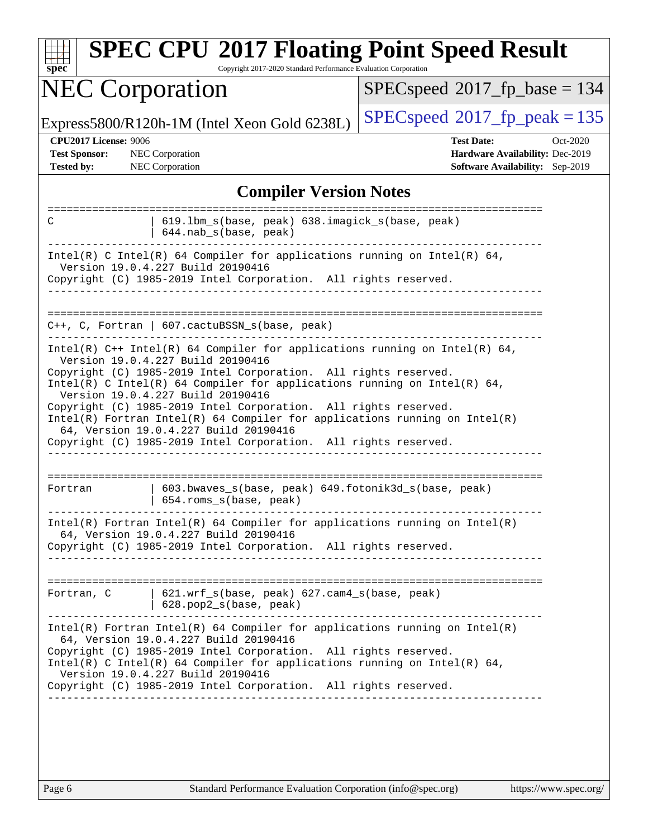| <b>SPEC CPU®2017 Floating Point Speed Result</b><br>Copyright 2017-2020 Standard Performance Evaluation Corporation<br>$spec^*$                                                                                                                                                                                                                                                                                                                                                                                                                                      |                                                                                                     |  |  |
|----------------------------------------------------------------------------------------------------------------------------------------------------------------------------------------------------------------------------------------------------------------------------------------------------------------------------------------------------------------------------------------------------------------------------------------------------------------------------------------------------------------------------------------------------------------------|-----------------------------------------------------------------------------------------------------|--|--|
| <b>NEC Corporation</b>                                                                                                                                                                                                                                                                                                                                                                                                                                                                                                                                               | $SPEC speed^{\circ}2017$ fp base = 134                                                              |  |  |
| Express5800/R120h-1M (Intel Xeon Gold 6238L)                                                                                                                                                                                                                                                                                                                                                                                                                                                                                                                         | $SPEC speed^{\circ}2017$ fp peak = 135                                                              |  |  |
| CPU2017 License: 9006<br><b>Test Sponsor:</b><br>NEC Corporation<br><b>Tested by:</b><br>NEC Corporation                                                                                                                                                                                                                                                                                                                                                                                                                                                             | <b>Test Date:</b><br>Oct-2020<br>Hardware Availability: Dec-2019<br>Software Availability: Sep-2019 |  |  |
| <b>Compiler Version Notes</b>                                                                                                                                                                                                                                                                                                                                                                                                                                                                                                                                        |                                                                                                     |  |  |
| 619.1bm_s(base, peak) 638.imagick_s(base, peak)<br>С<br>644.nab_s(base, peak)                                                                                                                                                                                                                                                                                                                                                                                                                                                                                        |                                                                                                     |  |  |
| Intel(R) C Intel(R) 64 Compiler for applications running on Intel(R) 64,<br>Version 19.0.4.227 Build 20190416<br>Copyright (C) 1985-2019 Intel Corporation. All rights reserved.                                                                                                                                                                                                                                                                                                                                                                                     |                                                                                                     |  |  |
| $C++$ , C, Fortran   607.cactuBSSN_s(base, peak)                                                                                                                                                                                                                                                                                                                                                                                                                                                                                                                     |                                                                                                     |  |  |
| Intel(R) $C++$ Intel(R) 64 Compiler for applications running on Intel(R) 64,<br>Version 19.0.4.227 Build 20190416<br>Copyright (C) 1985-2019 Intel Corporation. All rights reserved.<br>Intel(R) C Intel(R) 64 Compiler for applications running on Intel(R) 64,<br>Version 19.0.4.227 Build 20190416<br>Copyright (C) 1985-2019 Intel Corporation. All rights reserved.<br>$Intel(R)$ Fortran Intel(R) 64 Compiler for applications running on Intel(R)<br>64, Version 19.0.4.227 Build 20190416<br>Copyright (C) 1985-2019 Intel Corporation. All rights reserved. |                                                                                                     |  |  |
| ======================<br>603.bwaves_s(base, peak) 649.fotonik3d_s(base, peak)<br>Fortran<br>654.roms_s(base, peak)                                                                                                                                                                                                                                                                                                                                                                                                                                                  |                                                                                                     |  |  |
| $Intel(R)$ Fortran Intel(R) 64 Compiler for applications running on Intel(R)<br>64, Version 19.0.4.227 Build 20190416<br>Copyright (C) 1985-2019 Intel Corporation. All rights reserved.<br>_________________                                                                                                                                                                                                                                                                                                                                                        |                                                                                                     |  |  |
| Fortran, C   621.wrf_s(base, peak) 627.cam4_s(base, peak)<br>$  628.pop2_s(base, peak)$                                                                                                                                                                                                                                                                                                                                                                                                                                                                              |                                                                                                     |  |  |
| $Intel(R)$ Fortran Intel(R) 64 Compiler for applications running on Intel(R)<br>64, Version 19.0.4.227 Build 20190416<br>Copyright (C) 1985-2019 Intel Corporation. All rights reserved.<br>Intel(R) C Intel(R) 64 Compiler for applications running on Intel(R) 64,<br>Version 19.0.4.227 Build 20190416<br>Copyright (C) 1985-2019 Intel Corporation. All rights reserved.                                                                                                                                                                                         |                                                                                                     |  |  |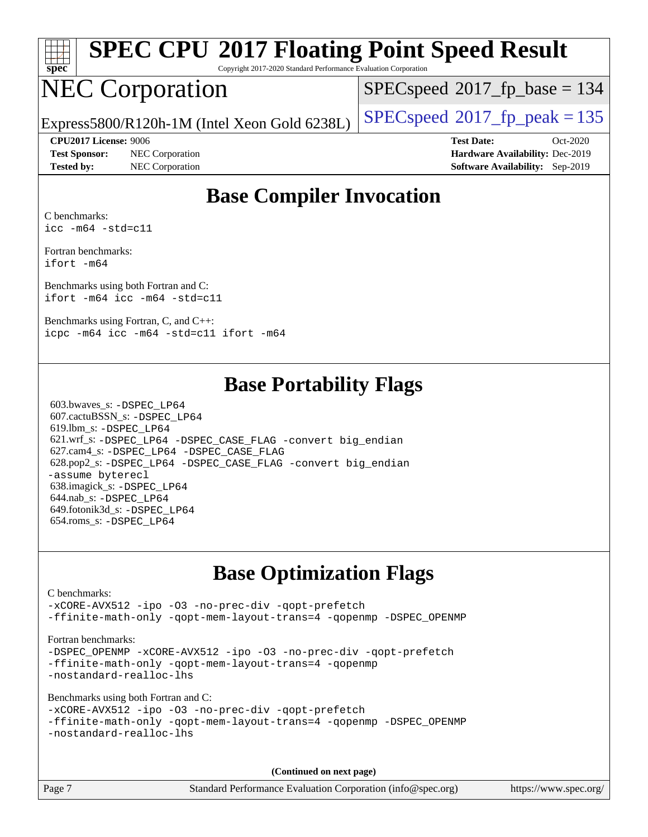| spe<br>Ľ<br>۹ |  |  |  |  |  |
|---------------|--|--|--|--|--|

# **[SPEC CPU](http://www.spec.org/auto/cpu2017/Docs/result-fields.html#SPECCPU2017FloatingPointSpeedResult)[2017 Floating Point Speed Result](http://www.spec.org/auto/cpu2017/Docs/result-fields.html#SPECCPU2017FloatingPointSpeedResult)**

Copyright 2017-2020 Standard Performance Evaluation Corporation

# NEC Corporation

[SPECspeed](http://www.spec.org/auto/cpu2017/Docs/result-fields.html#SPECspeed2017fpbase)<sup>®</sup>2017 fp base = 134

Express5800/R120h-1M (Intel Xeon Gold 6238L)  $\big|$  [SPECspeed](http://www.spec.org/auto/cpu2017/Docs/result-fields.html#SPECspeed2017fppeak)<sup>®</sup>[2017\\_fp\\_peak = 1](http://www.spec.org/auto/cpu2017/Docs/result-fields.html#SPECspeed2017fppeak)35

**[Test Sponsor:](http://www.spec.org/auto/cpu2017/Docs/result-fields.html#TestSponsor)** NEC Corporation **[Hardware Availability:](http://www.spec.org/auto/cpu2017/Docs/result-fields.html#HardwareAvailability)** Dec-2019 **[Tested by:](http://www.spec.org/auto/cpu2017/Docs/result-fields.html#Testedby)** NEC Corporation **[Software Availability:](http://www.spec.org/auto/cpu2017/Docs/result-fields.html#SoftwareAvailability)** Sep-2019

**[CPU2017 License:](http://www.spec.org/auto/cpu2017/Docs/result-fields.html#CPU2017License)** 9006 **[Test Date:](http://www.spec.org/auto/cpu2017/Docs/result-fields.html#TestDate)** Oct-2020

### **[Base Compiler Invocation](http://www.spec.org/auto/cpu2017/Docs/result-fields.html#BaseCompilerInvocation)**

[C benchmarks:](http://www.spec.org/auto/cpu2017/Docs/result-fields.html#Cbenchmarks) [icc -m64 -std=c11](http://www.spec.org/cpu2017/results/res2020q4/cpu2017-20201012-24172.flags.html#user_CCbase_intel_icc_64bit_c11_33ee0cdaae7deeeab2a9725423ba97205ce30f63b9926c2519791662299b76a0318f32ddfffdc46587804de3178b4f9328c46fa7c2b0cd779d7a61945c91cd35)

[Fortran benchmarks](http://www.spec.org/auto/cpu2017/Docs/result-fields.html#Fortranbenchmarks): [ifort -m64](http://www.spec.org/cpu2017/results/res2020q4/cpu2017-20201012-24172.flags.html#user_FCbase_intel_ifort_64bit_24f2bb282fbaeffd6157abe4f878425411749daecae9a33200eee2bee2fe76f3b89351d69a8130dd5949958ce389cf37ff59a95e7a40d588e8d3a57e0c3fd751)

[Benchmarks using both Fortran and C:](http://www.spec.org/auto/cpu2017/Docs/result-fields.html#BenchmarksusingbothFortranandC) [ifort -m64](http://www.spec.org/cpu2017/results/res2020q4/cpu2017-20201012-24172.flags.html#user_CC_FCbase_intel_ifort_64bit_24f2bb282fbaeffd6157abe4f878425411749daecae9a33200eee2bee2fe76f3b89351d69a8130dd5949958ce389cf37ff59a95e7a40d588e8d3a57e0c3fd751) [icc -m64 -std=c11](http://www.spec.org/cpu2017/results/res2020q4/cpu2017-20201012-24172.flags.html#user_CC_FCbase_intel_icc_64bit_c11_33ee0cdaae7deeeab2a9725423ba97205ce30f63b9926c2519791662299b76a0318f32ddfffdc46587804de3178b4f9328c46fa7c2b0cd779d7a61945c91cd35)

[Benchmarks using Fortran, C, and C++:](http://www.spec.org/auto/cpu2017/Docs/result-fields.html#BenchmarksusingFortranCandCXX) [icpc -m64](http://www.spec.org/cpu2017/results/res2020q4/cpu2017-20201012-24172.flags.html#user_CC_CXX_FCbase_intel_icpc_64bit_4ecb2543ae3f1412ef961e0650ca070fec7b7afdcd6ed48761b84423119d1bf6bdf5cad15b44d48e7256388bc77273b966e5eb805aefd121eb22e9299b2ec9d9) [icc -m64 -std=c11](http://www.spec.org/cpu2017/results/res2020q4/cpu2017-20201012-24172.flags.html#user_CC_CXX_FCbase_intel_icc_64bit_c11_33ee0cdaae7deeeab2a9725423ba97205ce30f63b9926c2519791662299b76a0318f32ddfffdc46587804de3178b4f9328c46fa7c2b0cd779d7a61945c91cd35) [ifort -m64](http://www.spec.org/cpu2017/results/res2020q4/cpu2017-20201012-24172.flags.html#user_CC_CXX_FCbase_intel_ifort_64bit_24f2bb282fbaeffd6157abe4f878425411749daecae9a33200eee2bee2fe76f3b89351d69a8130dd5949958ce389cf37ff59a95e7a40d588e8d3a57e0c3fd751)

#### **[Base Portability Flags](http://www.spec.org/auto/cpu2017/Docs/result-fields.html#BasePortabilityFlags)**

 603.bwaves\_s: [-DSPEC\\_LP64](http://www.spec.org/cpu2017/results/res2020q4/cpu2017-20201012-24172.flags.html#suite_basePORTABILITY603_bwaves_s_DSPEC_LP64) 607.cactuBSSN\_s: [-DSPEC\\_LP64](http://www.spec.org/cpu2017/results/res2020q4/cpu2017-20201012-24172.flags.html#suite_basePORTABILITY607_cactuBSSN_s_DSPEC_LP64) 619.lbm\_s: [-DSPEC\\_LP64](http://www.spec.org/cpu2017/results/res2020q4/cpu2017-20201012-24172.flags.html#suite_basePORTABILITY619_lbm_s_DSPEC_LP64) 621.wrf\_s: [-DSPEC\\_LP64](http://www.spec.org/cpu2017/results/res2020q4/cpu2017-20201012-24172.flags.html#suite_basePORTABILITY621_wrf_s_DSPEC_LP64) [-DSPEC\\_CASE\\_FLAG](http://www.spec.org/cpu2017/results/res2020q4/cpu2017-20201012-24172.flags.html#b621.wrf_s_baseCPORTABILITY_DSPEC_CASE_FLAG) [-convert big\\_endian](http://www.spec.org/cpu2017/results/res2020q4/cpu2017-20201012-24172.flags.html#user_baseFPORTABILITY621_wrf_s_convert_big_endian_c3194028bc08c63ac5d04de18c48ce6d347e4e562e8892b8bdbdc0214820426deb8554edfa529a3fb25a586e65a3d812c835984020483e7e73212c4d31a38223) 627.cam4\_s: [-DSPEC\\_LP64](http://www.spec.org/cpu2017/results/res2020q4/cpu2017-20201012-24172.flags.html#suite_basePORTABILITY627_cam4_s_DSPEC_LP64) [-DSPEC\\_CASE\\_FLAG](http://www.spec.org/cpu2017/results/res2020q4/cpu2017-20201012-24172.flags.html#b627.cam4_s_baseCPORTABILITY_DSPEC_CASE_FLAG) 628.pop2\_s: [-DSPEC\\_LP64](http://www.spec.org/cpu2017/results/res2020q4/cpu2017-20201012-24172.flags.html#suite_basePORTABILITY628_pop2_s_DSPEC_LP64) [-DSPEC\\_CASE\\_FLAG](http://www.spec.org/cpu2017/results/res2020q4/cpu2017-20201012-24172.flags.html#b628.pop2_s_baseCPORTABILITY_DSPEC_CASE_FLAG) [-convert big\\_endian](http://www.spec.org/cpu2017/results/res2020q4/cpu2017-20201012-24172.flags.html#user_baseFPORTABILITY628_pop2_s_convert_big_endian_c3194028bc08c63ac5d04de18c48ce6d347e4e562e8892b8bdbdc0214820426deb8554edfa529a3fb25a586e65a3d812c835984020483e7e73212c4d31a38223) [-assume byterecl](http://www.spec.org/cpu2017/results/res2020q4/cpu2017-20201012-24172.flags.html#user_baseFPORTABILITY628_pop2_s_assume_byterecl_7e47d18b9513cf18525430bbf0f2177aa9bf368bc7a059c09b2c06a34b53bd3447c950d3f8d6c70e3faf3a05c8557d66a5798b567902e8849adc142926523472) 638.imagick\_s: [-DSPEC\\_LP64](http://www.spec.org/cpu2017/results/res2020q4/cpu2017-20201012-24172.flags.html#suite_basePORTABILITY638_imagick_s_DSPEC_LP64) 644.nab\_s: [-DSPEC\\_LP64](http://www.spec.org/cpu2017/results/res2020q4/cpu2017-20201012-24172.flags.html#suite_basePORTABILITY644_nab_s_DSPEC_LP64) 649.fotonik3d\_s: [-DSPEC\\_LP64](http://www.spec.org/cpu2017/results/res2020q4/cpu2017-20201012-24172.flags.html#suite_basePORTABILITY649_fotonik3d_s_DSPEC_LP64) 654.roms\_s: [-DSPEC\\_LP64](http://www.spec.org/cpu2017/results/res2020q4/cpu2017-20201012-24172.flags.html#suite_basePORTABILITY654_roms_s_DSPEC_LP64)

## **[Base Optimization Flags](http://www.spec.org/auto/cpu2017/Docs/result-fields.html#BaseOptimizationFlags)**

#### [C benchmarks](http://www.spec.org/auto/cpu2017/Docs/result-fields.html#Cbenchmarks): [-xCORE-AVX512](http://www.spec.org/cpu2017/results/res2020q4/cpu2017-20201012-24172.flags.html#user_CCbase_f-xCORE-AVX512) [-ipo](http://www.spec.org/cpu2017/results/res2020q4/cpu2017-20201012-24172.flags.html#user_CCbase_f-ipo) [-O3](http://www.spec.org/cpu2017/results/res2020q4/cpu2017-20201012-24172.flags.html#user_CCbase_f-O3) [-no-prec-div](http://www.spec.org/cpu2017/results/res2020q4/cpu2017-20201012-24172.flags.html#user_CCbase_f-no-prec-div) [-qopt-prefetch](http://www.spec.org/cpu2017/results/res2020q4/cpu2017-20201012-24172.flags.html#user_CCbase_f-qopt-prefetch) [-ffinite-math-only](http://www.spec.org/cpu2017/results/res2020q4/cpu2017-20201012-24172.flags.html#user_CCbase_f_finite_math_only_cb91587bd2077682c4b38af759c288ed7c732db004271a9512da14a4f8007909a5f1427ecbf1a0fb78ff2a814402c6114ac565ca162485bbcae155b5e4258871) [-qopt-mem-layout-trans=4](http://www.spec.org/cpu2017/results/res2020q4/cpu2017-20201012-24172.flags.html#user_CCbase_f-qopt-mem-layout-trans_fa39e755916c150a61361b7846f310bcdf6f04e385ef281cadf3647acec3f0ae266d1a1d22d972a7087a248fd4e6ca390a3634700869573d231a252c784941a8) [-qopenmp](http://www.spec.org/cpu2017/results/res2020q4/cpu2017-20201012-24172.flags.html#user_CCbase_qopenmp_16be0c44f24f464004c6784a7acb94aca937f053568ce72f94b139a11c7c168634a55f6653758ddd83bcf7b8463e8028bb0b48b77bcddc6b78d5d95bb1df2967) [-DSPEC\\_OPENMP](http://www.spec.org/cpu2017/results/res2020q4/cpu2017-20201012-24172.flags.html#suite_CCbase_DSPEC_OPENMP) [Fortran benchmarks](http://www.spec.org/auto/cpu2017/Docs/result-fields.html#Fortranbenchmarks): -DSPEC OPENMP [-xCORE-AVX512](http://www.spec.org/cpu2017/results/res2020q4/cpu2017-20201012-24172.flags.html#user_FCbase_f-xCORE-AVX512) [-ipo](http://www.spec.org/cpu2017/results/res2020q4/cpu2017-20201012-24172.flags.html#user_FCbase_f-ipo) [-O3](http://www.spec.org/cpu2017/results/res2020q4/cpu2017-20201012-24172.flags.html#user_FCbase_f-O3) [-no-prec-div](http://www.spec.org/cpu2017/results/res2020q4/cpu2017-20201012-24172.flags.html#user_FCbase_f-no-prec-div) [-qopt-prefetch](http://www.spec.org/cpu2017/results/res2020q4/cpu2017-20201012-24172.flags.html#user_FCbase_f-qopt-prefetch) [-ffinite-math-only](http://www.spec.org/cpu2017/results/res2020q4/cpu2017-20201012-24172.flags.html#user_FCbase_f_finite_math_only_cb91587bd2077682c4b38af759c288ed7c732db004271a9512da14a4f8007909a5f1427ecbf1a0fb78ff2a814402c6114ac565ca162485bbcae155b5e4258871) [-qopt-mem-layout-trans=4](http://www.spec.org/cpu2017/results/res2020q4/cpu2017-20201012-24172.flags.html#user_FCbase_f-qopt-mem-layout-trans_fa39e755916c150a61361b7846f310bcdf6f04e385ef281cadf3647acec3f0ae266d1a1d22d972a7087a248fd4e6ca390a3634700869573d231a252c784941a8) [-qopenmp](http://www.spec.org/cpu2017/results/res2020q4/cpu2017-20201012-24172.flags.html#user_FCbase_qopenmp_16be0c44f24f464004c6784a7acb94aca937f053568ce72f94b139a11c7c168634a55f6653758ddd83bcf7b8463e8028bb0b48b77bcddc6b78d5d95bb1df2967) [-nostandard-realloc-lhs](http://www.spec.org/cpu2017/results/res2020q4/cpu2017-20201012-24172.flags.html#user_FCbase_f_2003_std_realloc_82b4557e90729c0f113870c07e44d33d6f5a304b4f63d4c15d2d0f1fab99f5daaed73bdb9275d9ae411527f28b936061aa8b9c8f2d63842963b95c9dd6426b8a) [Benchmarks using both Fortran and C](http://www.spec.org/auto/cpu2017/Docs/result-fields.html#BenchmarksusingbothFortranandC): [-xCORE-AVX512](http://www.spec.org/cpu2017/results/res2020q4/cpu2017-20201012-24172.flags.html#user_CC_FCbase_f-xCORE-AVX512) [-ipo](http://www.spec.org/cpu2017/results/res2020q4/cpu2017-20201012-24172.flags.html#user_CC_FCbase_f-ipo) [-O3](http://www.spec.org/cpu2017/results/res2020q4/cpu2017-20201012-24172.flags.html#user_CC_FCbase_f-O3) [-no-prec-div](http://www.spec.org/cpu2017/results/res2020q4/cpu2017-20201012-24172.flags.html#user_CC_FCbase_f-no-prec-div) [-qopt-prefetch](http://www.spec.org/cpu2017/results/res2020q4/cpu2017-20201012-24172.flags.html#user_CC_FCbase_f-qopt-prefetch) [-ffinite-math-only](http://www.spec.org/cpu2017/results/res2020q4/cpu2017-20201012-24172.flags.html#user_CC_FCbase_f_finite_math_only_cb91587bd2077682c4b38af759c288ed7c732db004271a9512da14a4f8007909a5f1427ecbf1a0fb78ff2a814402c6114ac565ca162485bbcae155b5e4258871) [-qopt-mem-layout-trans=4](http://www.spec.org/cpu2017/results/res2020q4/cpu2017-20201012-24172.flags.html#user_CC_FCbase_f-qopt-mem-layout-trans_fa39e755916c150a61361b7846f310bcdf6f04e385ef281cadf3647acec3f0ae266d1a1d22d972a7087a248fd4e6ca390a3634700869573d231a252c784941a8) [-qopenmp](http://www.spec.org/cpu2017/results/res2020q4/cpu2017-20201012-24172.flags.html#user_CC_FCbase_qopenmp_16be0c44f24f464004c6784a7acb94aca937f053568ce72f94b139a11c7c168634a55f6653758ddd83bcf7b8463e8028bb0b48b77bcddc6b78d5d95bb1df2967) [-DSPEC\\_OPENMP](http://www.spec.org/cpu2017/results/res2020q4/cpu2017-20201012-24172.flags.html#suite_CC_FCbase_DSPEC_OPENMP) [-nostandard-realloc-lhs](http://www.spec.org/cpu2017/results/res2020q4/cpu2017-20201012-24172.flags.html#user_CC_FCbase_f_2003_std_realloc_82b4557e90729c0f113870c07e44d33d6f5a304b4f63d4c15d2d0f1fab99f5daaed73bdb9275d9ae411527f28b936061aa8b9c8f2d63842963b95c9dd6426b8a) **(Continued on next page)**

Page 7 Standard Performance Evaluation Corporation [\(info@spec.org\)](mailto:info@spec.org) <https://www.spec.org/>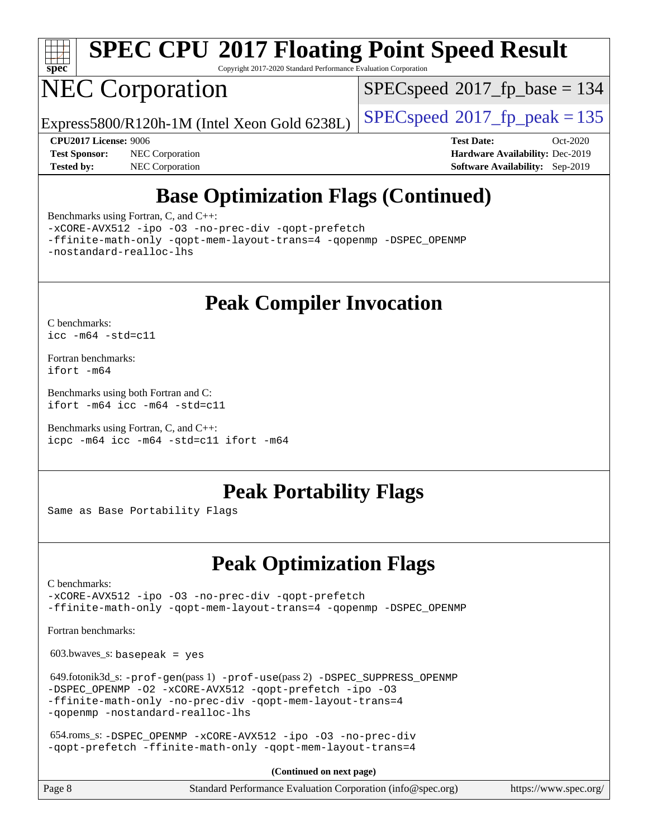

# **[SPEC CPU](http://www.spec.org/auto/cpu2017/Docs/result-fields.html#SPECCPU2017FloatingPointSpeedResult)[2017 Floating Point Speed Result](http://www.spec.org/auto/cpu2017/Docs/result-fields.html#SPECCPU2017FloatingPointSpeedResult)**

Copyright 2017-2020 Standard Performance Evaluation Corporation

## NEC Corporation

[SPECspeed](http://www.spec.org/auto/cpu2017/Docs/result-fields.html#SPECspeed2017fpbase)<sup>®</sup>2017 fp base = 134

Express5800/R120h-1M (Intel Xeon Gold 6238L)  $\big|$  [SPECspeed](http://www.spec.org/auto/cpu2017/Docs/result-fields.html#SPECspeed2017fppeak)<sup>®</sup>[2017\\_fp\\_peak = 1](http://www.spec.org/auto/cpu2017/Docs/result-fields.html#SPECspeed2017fppeak)35

**[Tested by:](http://www.spec.org/auto/cpu2017/Docs/result-fields.html#Testedby)** NEC Corporation **[Software Availability:](http://www.spec.org/auto/cpu2017/Docs/result-fields.html#SoftwareAvailability)** Sep-2019

**[CPU2017 License:](http://www.spec.org/auto/cpu2017/Docs/result-fields.html#CPU2017License)** 9006 **[Test Date:](http://www.spec.org/auto/cpu2017/Docs/result-fields.html#TestDate)** Oct-2020 **[Test Sponsor:](http://www.spec.org/auto/cpu2017/Docs/result-fields.html#TestSponsor)** NEC Corporation **[Hardware Availability:](http://www.spec.org/auto/cpu2017/Docs/result-fields.html#HardwareAvailability)** Dec-2019

## **[Base Optimization Flags \(Continued\)](http://www.spec.org/auto/cpu2017/Docs/result-fields.html#BaseOptimizationFlags)**

[Benchmarks using Fortran, C, and C++:](http://www.spec.org/auto/cpu2017/Docs/result-fields.html#BenchmarksusingFortranCandCXX)

[-xCORE-AVX512](http://www.spec.org/cpu2017/results/res2020q4/cpu2017-20201012-24172.flags.html#user_CC_CXX_FCbase_f-xCORE-AVX512) [-ipo](http://www.spec.org/cpu2017/results/res2020q4/cpu2017-20201012-24172.flags.html#user_CC_CXX_FCbase_f-ipo) [-O3](http://www.spec.org/cpu2017/results/res2020q4/cpu2017-20201012-24172.flags.html#user_CC_CXX_FCbase_f-O3) [-no-prec-div](http://www.spec.org/cpu2017/results/res2020q4/cpu2017-20201012-24172.flags.html#user_CC_CXX_FCbase_f-no-prec-div) [-qopt-prefetch](http://www.spec.org/cpu2017/results/res2020q4/cpu2017-20201012-24172.flags.html#user_CC_CXX_FCbase_f-qopt-prefetch)

[-ffinite-math-only](http://www.spec.org/cpu2017/results/res2020q4/cpu2017-20201012-24172.flags.html#user_CC_CXX_FCbase_f_finite_math_only_cb91587bd2077682c4b38af759c288ed7c732db004271a9512da14a4f8007909a5f1427ecbf1a0fb78ff2a814402c6114ac565ca162485bbcae155b5e4258871) [-qopt-mem-layout-trans=4](http://www.spec.org/cpu2017/results/res2020q4/cpu2017-20201012-24172.flags.html#user_CC_CXX_FCbase_f-qopt-mem-layout-trans_fa39e755916c150a61361b7846f310bcdf6f04e385ef281cadf3647acec3f0ae266d1a1d22d972a7087a248fd4e6ca390a3634700869573d231a252c784941a8) [-qopenmp](http://www.spec.org/cpu2017/results/res2020q4/cpu2017-20201012-24172.flags.html#user_CC_CXX_FCbase_qopenmp_16be0c44f24f464004c6784a7acb94aca937f053568ce72f94b139a11c7c168634a55f6653758ddd83bcf7b8463e8028bb0b48b77bcddc6b78d5d95bb1df2967) [-DSPEC\\_OPENMP](http://www.spec.org/cpu2017/results/res2020q4/cpu2017-20201012-24172.flags.html#suite_CC_CXX_FCbase_DSPEC_OPENMP) [-nostandard-realloc-lhs](http://www.spec.org/cpu2017/results/res2020q4/cpu2017-20201012-24172.flags.html#user_CC_CXX_FCbase_f_2003_std_realloc_82b4557e90729c0f113870c07e44d33d6f5a304b4f63d4c15d2d0f1fab99f5daaed73bdb9275d9ae411527f28b936061aa8b9c8f2d63842963b95c9dd6426b8a)

**[Peak Compiler Invocation](http://www.spec.org/auto/cpu2017/Docs/result-fields.html#PeakCompilerInvocation)**

[C benchmarks](http://www.spec.org/auto/cpu2017/Docs/result-fields.html#Cbenchmarks): [icc -m64 -std=c11](http://www.spec.org/cpu2017/results/res2020q4/cpu2017-20201012-24172.flags.html#user_CCpeak_intel_icc_64bit_c11_33ee0cdaae7deeeab2a9725423ba97205ce30f63b9926c2519791662299b76a0318f32ddfffdc46587804de3178b4f9328c46fa7c2b0cd779d7a61945c91cd35)

[Fortran benchmarks](http://www.spec.org/auto/cpu2017/Docs/result-fields.html#Fortranbenchmarks): [ifort -m64](http://www.spec.org/cpu2017/results/res2020q4/cpu2017-20201012-24172.flags.html#user_FCpeak_intel_ifort_64bit_24f2bb282fbaeffd6157abe4f878425411749daecae9a33200eee2bee2fe76f3b89351d69a8130dd5949958ce389cf37ff59a95e7a40d588e8d3a57e0c3fd751)

[Benchmarks using both Fortran and C](http://www.spec.org/auto/cpu2017/Docs/result-fields.html#BenchmarksusingbothFortranandC): [ifort -m64](http://www.spec.org/cpu2017/results/res2020q4/cpu2017-20201012-24172.flags.html#user_CC_FCpeak_intel_ifort_64bit_24f2bb282fbaeffd6157abe4f878425411749daecae9a33200eee2bee2fe76f3b89351d69a8130dd5949958ce389cf37ff59a95e7a40d588e8d3a57e0c3fd751) [icc -m64 -std=c11](http://www.spec.org/cpu2017/results/res2020q4/cpu2017-20201012-24172.flags.html#user_CC_FCpeak_intel_icc_64bit_c11_33ee0cdaae7deeeab2a9725423ba97205ce30f63b9926c2519791662299b76a0318f32ddfffdc46587804de3178b4f9328c46fa7c2b0cd779d7a61945c91cd35)

[Benchmarks using Fortran, C, and C++:](http://www.spec.org/auto/cpu2017/Docs/result-fields.html#BenchmarksusingFortranCandCXX) [icpc -m64](http://www.spec.org/cpu2017/results/res2020q4/cpu2017-20201012-24172.flags.html#user_CC_CXX_FCpeak_intel_icpc_64bit_4ecb2543ae3f1412ef961e0650ca070fec7b7afdcd6ed48761b84423119d1bf6bdf5cad15b44d48e7256388bc77273b966e5eb805aefd121eb22e9299b2ec9d9) [icc -m64 -std=c11](http://www.spec.org/cpu2017/results/res2020q4/cpu2017-20201012-24172.flags.html#user_CC_CXX_FCpeak_intel_icc_64bit_c11_33ee0cdaae7deeeab2a9725423ba97205ce30f63b9926c2519791662299b76a0318f32ddfffdc46587804de3178b4f9328c46fa7c2b0cd779d7a61945c91cd35) [ifort -m64](http://www.spec.org/cpu2017/results/res2020q4/cpu2017-20201012-24172.flags.html#user_CC_CXX_FCpeak_intel_ifort_64bit_24f2bb282fbaeffd6157abe4f878425411749daecae9a33200eee2bee2fe76f3b89351d69a8130dd5949958ce389cf37ff59a95e7a40d588e8d3a57e0c3fd751)

## **[Peak Portability Flags](http://www.spec.org/auto/cpu2017/Docs/result-fields.html#PeakPortabilityFlags)**

Same as Base Portability Flags

## **[Peak Optimization Flags](http://www.spec.org/auto/cpu2017/Docs/result-fields.html#PeakOptimizationFlags)**

[C benchmarks](http://www.spec.org/auto/cpu2017/Docs/result-fields.html#Cbenchmarks):

[-xCORE-AVX512](http://www.spec.org/cpu2017/results/res2020q4/cpu2017-20201012-24172.flags.html#user_CCpeak_f-xCORE-AVX512) [-ipo](http://www.spec.org/cpu2017/results/res2020q4/cpu2017-20201012-24172.flags.html#user_CCpeak_f-ipo) [-O3](http://www.spec.org/cpu2017/results/res2020q4/cpu2017-20201012-24172.flags.html#user_CCpeak_f-O3) [-no-prec-div](http://www.spec.org/cpu2017/results/res2020q4/cpu2017-20201012-24172.flags.html#user_CCpeak_f-no-prec-div) [-qopt-prefetch](http://www.spec.org/cpu2017/results/res2020q4/cpu2017-20201012-24172.flags.html#user_CCpeak_f-qopt-prefetch) [-ffinite-math-only](http://www.spec.org/cpu2017/results/res2020q4/cpu2017-20201012-24172.flags.html#user_CCpeak_f_finite_math_only_cb91587bd2077682c4b38af759c288ed7c732db004271a9512da14a4f8007909a5f1427ecbf1a0fb78ff2a814402c6114ac565ca162485bbcae155b5e4258871) [-qopt-mem-layout-trans=4](http://www.spec.org/cpu2017/results/res2020q4/cpu2017-20201012-24172.flags.html#user_CCpeak_f-qopt-mem-layout-trans_fa39e755916c150a61361b7846f310bcdf6f04e385ef281cadf3647acec3f0ae266d1a1d22d972a7087a248fd4e6ca390a3634700869573d231a252c784941a8) [-qopenmp](http://www.spec.org/cpu2017/results/res2020q4/cpu2017-20201012-24172.flags.html#user_CCpeak_qopenmp_16be0c44f24f464004c6784a7acb94aca937f053568ce72f94b139a11c7c168634a55f6653758ddd83bcf7b8463e8028bb0b48b77bcddc6b78d5d95bb1df2967) [-DSPEC\\_OPENMP](http://www.spec.org/cpu2017/results/res2020q4/cpu2017-20201012-24172.flags.html#suite_CCpeak_DSPEC_OPENMP)

[Fortran benchmarks](http://www.spec.org/auto/cpu2017/Docs/result-fields.html#Fortranbenchmarks):

 $603.bwaves$  s: basepeak = yes

 649.fotonik3d\_s: [-prof-gen](http://www.spec.org/cpu2017/results/res2020q4/cpu2017-20201012-24172.flags.html#user_peakPASS1_FFLAGSPASS1_LDFLAGS649_fotonik3d_s_prof_gen_5aa4926d6013ddb2a31985c654b3eb18169fc0c6952a63635c234f711e6e63dd76e94ad52365559451ec499a2cdb89e4dc58ba4c67ef54ca681ffbe1461d6b36)(pass 1) [-prof-use](http://www.spec.org/cpu2017/results/res2020q4/cpu2017-20201012-24172.flags.html#user_peakPASS2_FFLAGSPASS2_LDFLAGS649_fotonik3d_s_prof_use_1a21ceae95f36a2b53c25747139a6c16ca95bd9def2a207b4f0849963b97e94f5260e30a0c64f4bb623698870e679ca08317ef8150905d41bd88c6f78df73f19)(pass 2) [-DSPEC\\_SUPPRESS\\_OPENMP](http://www.spec.org/cpu2017/results/res2020q4/cpu2017-20201012-24172.flags.html#suite_peakPASS1_FOPTIMIZE649_fotonik3d_s_DSPEC_SUPPRESS_OPENMP) [-DSPEC\\_OPENMP](http://www.spec.org/cpu2017/results/res2020q4/cpu2017-20201012-24172.flags.html#suite_peakPASS2_FOPTIMIZE649_fotonik3d_s_DSPEC_OPENMP) [-O2](http://www.spec.org/cpu2017/results/res2020q4/cpu2017-20201012-24172.flags.html#user_peakPASS1_FOPTIMIZE649_fotonik3d_s_f-O2) [-xCORE-AVX512](http://www.spec.org/cpu2017/results/res2020q4/cpu2017-20201012-24172.flags.html#user_peakPASS2_FOPTIMIZE649_fotonik3d_s_f-xCORE-AVX512) [-qopt-prefetch](http://www.spec.org/cpu2017/results/res2020q4/cpu2017-20201012-24172.flags.html#user_peakPASS1_FOPTIMIZEPASS2_FOPTIMIZE649_fotonik3d_s_f-qopt-prefetch) [-ipo](http://www.spec.org/cpu2017/results/res2020q4/cpu2017-20201012-24172.flags.html#user_peakPASS2_FOPTIMIZE649_fotonik3d_s_f-ipo) [-O3](http://www.spec.org/cpu2017/results/res2020q4/cpu2017-20201012-24172.flags.html#user_peakPASS2_FOPTIMIZE649_fotonik3d_s_f-O3) [-ffinite-math-only](http://www.spec.org/cpu2017/results/res2020q4/cpu2017-20201012-24172.flags.html#user_peakPASS1_FOPTIMIZEPASS2_FOPTIMIZE649_fotonik3d_s_f_finite_math_only_cb91587bd2077682c4b38af759c288ed7c732db004271a9512da14a4f8007909a5f1427ecbf1a0fb78ff2a814402c6114ac565ca162485bbcae155b5e4258871) [-no-prec-div](http://www.spec.org/cpu2017/results/res2020q4/cpu2017-20201012-24172.flags.html#user_peakPASS2_FOPTIMIZE649_fotonik3d_s_f-no-prec-div) [-qopt-mem-layout-trans=4](http://www.spec.org/cpu2017/results/res2020q4/cpu2017-20201012-24172.flags.html#user_peakPASS1_FOPTIMIZEPASS2_FOPTIMIZE649_fotonik3d_s_f-qopt-mem-layout-trans_fa39e755916c150a61361b7846f310bcdf6f04e385ef281cadf3647acec3f0ae266d1a1d22d972a7087a248fd4e6ca390a3634700869573d231a252c784941a8) [-qopenmp](http://www.spec.org/cpu2017/results/res2020q4/cpu2017-20201012-24172.flags.html#user_peakPASS2_FOPTIMIZE649_fotonik3d_s_qopenmp_16be0c44f24f464004c6784a7acb94aca937f053568ce72f94b139a11c7c168634a55f6653758ddd83bcf7b8463e8028bb0b48b77bcddc6b78d5d95bb1df2967) [-nostandard-realloc-lhs](http://www.spec.org/cpu2017/results/res2020q4/cpu2017-20201012-24172.flags.html#user_peakEXTRA_FOPTIMIZE649_fotonik3d_s_f_2003_std_realloc_82b4557e90729c0f113870c07e44d33d6f5a304b4f63d4c15d2d0f1fab99f5daaed73bdb9275d9ae411527f28b936061aa8b9c8f2d63842963b95c9dd6426b8a)

 654.roms\_s: [-DSPEC\\_OPENMP](http://www.spec.org/cpu2017/results/res2020q4/cpu2017-20201012-24172.flags.html#suite_peakFOPTIMIZE654_roms_s_DSPEC_OPENMP) [-xCORE-AVX512](http://www.spec.org/cpu2017/results/res2020q4/cpu2017-20201012-24172.flags.html#user_peakFOPTIMIZE654_roms_s_f-xCORE-AVX512) [-ipo](http://www.spec.org/cpu2017/results/res2020q4/cpu2017-20201012-24172.flags.html#user_peakFOPTIMIZE654_roms_s_f-ipo) [-O3](http://www.spec.org/cpu2017/results/res2020q4/cpu2017-20201012-24172.flags.html#user_peakFOPTIMIZE654_roms_s_f-O3) [-no-prec-div](http://www.spec.org/cpu2017/results/res2020q4/cpu2017-20201012-24172.flags.html#user_peakFOPTIMIZE654_roms_s_f-no-prec-div) [-qopt-prefetch](http://www.spec.org/cpu2017/results/res2020q4/cpu2017-20201012-24172.flags.html#user_peakFOPTIMIZE654_roms_s_f-qopt-prefetch) [-ffinite-math-only](http://www.spec.org/cpu2017/results/res2020q4/cpu2017-20201012-24172.flags.html#user_peakFOPTIMIZE654_roms_s_f_finite_math_only_cb91587bd2077682c4b38af759c288ed7c732db004271a9512da14a4f8007909a5f1427ecbf1a0fb78ff2a814402c6114ac565ca162485bbcae155b5e4258871) [-qopt-mem-layout-trans=4](http://www.spec.org/cpu2017/results/res2020q4/cpu2017-20201012-24172.flags.html#user_peakFOPTIMIZE654_roms_s_f-qopt-mem-layout-trans_fa39e755916c150a61361b7846f310bcdf6f04e385ef281cadf3647acec3f0ae266d1a1d22d972a7087a248fd4e6ca390a3634700869573d231a252c784941a8)

**(Continued on next page)**

| Page 8 | Standard Performance Evaluation Corporation (info@spec.org) | https://www.spec.org/ |
|--------|-------------------------------------------------------------|-----------------------|
|        |                                                             |                       |